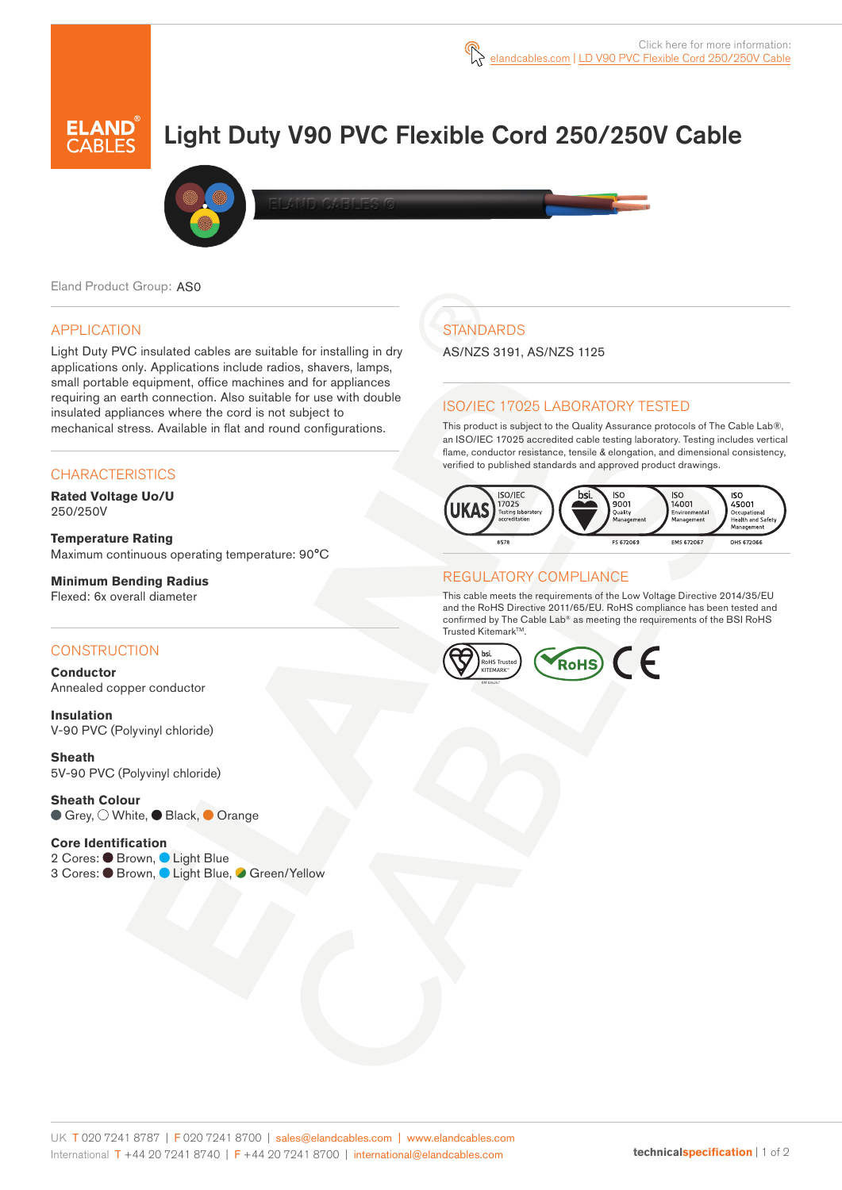

# Light Duty V90 PVC Flexible Cord 250/250V Cable



Eland Product Group: AS0

#### APPLICATION

Light Duty PVC insulated cables are suitable for installing in dry applications only. Applications include radios, shavers, lamps, small portable equipment, office machines and for appliances requiring an earth connection. Also suitable for use with double insulated appliances where the cord is not subject to mechanical stress. Available in flat and round configurations.

#### **CHARACTERISTICS**

**Rated Voltage Uo/U**  250/250V

**Temperature Rating** Maximum continuous operating temperature: 90°C

**Minimum Bending Radius**  Flexed: 6x overall diameter

#### **CONSTRUCTION**

**Conductor** Annealed copper conductor

**Insulation** V-90 PVC (Polyvinyl chloride)

**Sheath** 5V-90 PVC (Polyvinyl chloride)

**Sheath Colour** ● Grey, O White, ● Black, ● Orange

#### **Core Identification**

2 Cores: Brown, Light Blue 3 Cores: ● Brown, ● Light Blue, ● Green/Yellow

# **STANDARDS**

AS/NZS 3191, AS/NZS 1125

#### ISO/IEC 17025 LABORATORY TESTED

This product is subject to the Quality Assurance protocols of The Cable Lab®, an ISO/IEC 17025 accredited cable testing laboratory. Testing includes vertical flame, conductor resistance, tensile & elongation, and dimensional consistency, verified to published standards and approved product drawings.



#### REGULATORY COMPLIANCE

This cable meets the requirements of the Low Voltage Directive 2014/35/EU and the RoHS Directive 2011/65/EU. RoHS compliance has been tested and confirmed by The Cable Lab® as meeting the requirements of the BSI RoHS Trusted Kitemark™